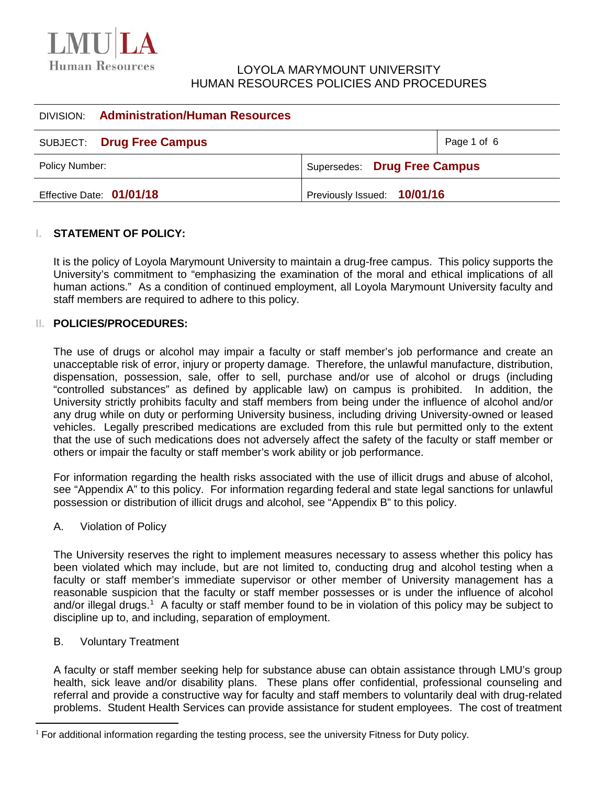

# LOYOLA MARYMOUNT UNIVERSITY HUMAN RESOURCES POLICIES AND PROCEDURES

|                          | <b>DIVISION:</b> Administration/Human Resources |                              |             |
|--------------------------|-------------------------------------------------|------------------------------|-------------|
|                          | SUBJECT: Drug Free Campus                       |                              | Page 1 of 6 |
| Policy Number:           |                                                 | Supersedes: Drug Free Campus |             |
| Effective Date: 01/01/18 |                                                 | Previously Issued: 10/01/16  |             |

### **I. STATEMENT OF POLICY:**

It is the policy of Loyola Marymount University to maintain a drug-free campus. This policy supports the University's commitment to "emphasizing the examination of the moral and ethical implications of all human actions." As a condition of continued employment, all Loyola Marymount University faculty and staff members are required to adhere to this policy.

#### **II. POLICIES/PROCEDURES:**

The use of drugs or alcohol may impair a faculty or staff member's job performance and create an unacceptable risk of error, injury or property damage. Therefore, the unlawful manufacture, distribution, dispensation, possession, sale, offer to sell, purchase and/or use of alcohol or drugs (including "controlled substances" as defined by applicable law) on campus is prohibited. In addition, the University strictly prohibits faculty and staff members from being under the influence of alcohol and/or any drug while on duty or performing University business, including driving University-owned or leased vehicles. Legally prescribed medications are excluded from this rule but permitted only to the extent that the use of such medications does not adversely affect the safety of the faculty or staff member or others or impair the faculty or staff member's work ability or job performance.

For information regarding the health risks associated with the use of illicit drugs and abuse of alcohol, see "Appendix A" to this policy. For information regarding federal and state legal sanctions for unlawful possession or distribution of illicit drugs and alcohol, see "Appendix B" to this policy.

#### A. Violation of Policy

The University reserves the right to implement measures necessary to assess whether this policy has been violated which may include, but are not limited to, conducting drug and alcohol testing when a faculty or staff member's immediate supervisor or other member of University management has a reasonable suspicion that the faculty or staff member possesses or is under the influence of alcohol and/or illegal drugs.<sup>[1](#page-0-0)</sup> A faculty or staff member found to be in violation of this policy may be subject to discipline up to, and including, separation of employment.

### B. Voluntary Treatment

 $\overline{a}$ 

A faculty or staff member seeking help for substance abuse can obtain assistance through LMU's group health, sick leave and/or disability plans. These plans offer confidential, professional counseling and referral and provide a constructive way for faculty and staff members to voluntarily deal with drug-related problems. Student Health Services can provide assistance for student employees. The cost of treatment

<span id="page-0-0"></span> $<sup>1</sup>$  For additional information regarding the testing process, see the university Fitness for Duty policy.</sup>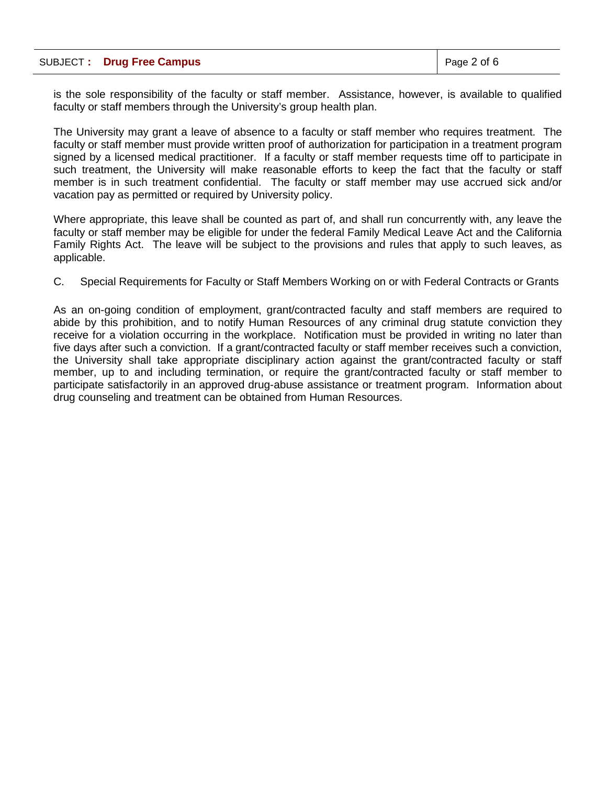|  | SUBJECT: Drug Free Campus | $\vert$ Page 2 of 6 |
|--|---------------------------|---------------------|
|--|---------------------------|---------------------|

is the sole responsibility of the faculty or staff member. Assistance, however, is available to qualified faculty or staff members through the University's group health plan.

The University may grant a leave of absence to a faculty or staff member who requires treatment. The faculty or staff member must provide written proof of authorization for participation in a treatment program signed by a licensed medical practitioner. If a faculty or staff member requests time off to participate in such treatment, the University will make reasonable efforts to keep the fact that the faculty or staff member is in such treatment confidential. The faculty or staff member may use accrued sick and/or vacation pay as permitted or required by University policy.

Where appropriate, this leave shall be counted as part of, and shall run concurrently with, any leave the faculty or staff member may be eligible for under the federal Family Medical Leave Act and the California Family Rights Act. The leave will be subject to the provisions and rules that apply to such leaves, as applicable.

C. Special Requirements for Faculty or Staff Members Working on or with Federal Contracts or Grants

As an on-going condition of employment, grant/contracted faculty and staff members are required to abide by this prohibition, and to notify Human Resources of any criminal drug statute conviction they receive for a violation occurring in the workplace. Notification must be provided in writing no later than five days after such a conviction. If a grant/contracted faculty or staff member receives such a conviction, the University shall take appropriate disciplinary action against the grant/contracted faculty or staff member, up to and including termination, or require the grant/contracted faculty or staff member to participate satisfactorily in an approved drug-abuse assistance or treatment program. Information about drug counseling and treatment can be obtained from Human Resources.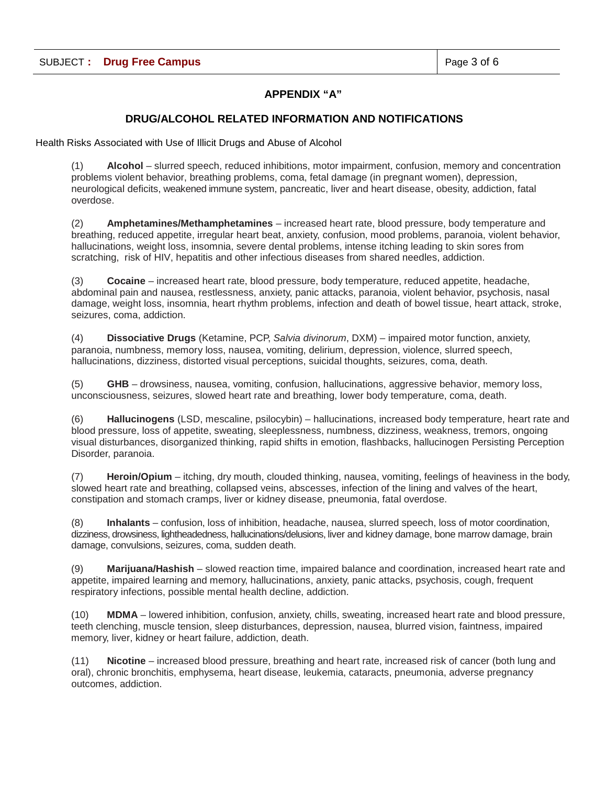## **APPENDIX "A"**

#### **DRUG/ALCOHOL RELATED INFORMATION AND NOTIFICATIONS**

Health Risks Associated with Use of Illicit Drugs and Abuse of Alcohol

(1) **Alcohol** – slurred speech, reduced inhibitions, motor impairment, confusion, memory and concentration problems violent behavior, breathing problems, coma, fetal damage (in pregnant women), depression, neurological deficits, weakened immune system, pancreatic, liver and heart disease, obesity, addiction, fatal overdose.

(2) **Amphetamines/Methamphetamines** – increased heart rate, blood pressure, body temperature and breathing, reduced appetite, irregular heart beat, anxiety, confusion, mood problems, paranoia, violent behavior, hallucinations, weight loss, insomnia, severe dental problems, intense itching leading to skin sores from scratching, risk of HIV, hepatitis and other infectious diseases from shared needles, addiction.

(3) **Cocaine** – increased heart rate, blood pressure, body temperature, reduced appetite, headache, abdominal pain and nausea, restlessness, anxiety, panic attacks, paranoia, violent behavior, psychosis, nasal damage, weight loss, insomnia, heart rhythm problems, infection and death of bowel tissue, heart attack, stroke, seizures, coma, addiction.

(4) **Dissociative Drugs** (Ketamine, PCP, *Salvia divinorum*, DXM) – impaired motor function, anxiety, paranoia, numbness, memory loss, nausea, vomiting, delirium, depression, violence, slurred speech, hallucinations, dizziness, distorted visual perceptions, suicidal thoughts, seizures, coma, death.

(5) **GHB** – drowsiness, nausea, vomiting, confusion, hallucinations, aggressive behavior, memory loss, unconsciousness, seizures, slowed heart rate and breathing, lower body temperature, coma, death.

(6) **Hallucinogens** (LSD, mescaline, psilocybin) – hallucinations, increased body temperature, heart rate and blood pressure, loss of appetite, sweating, sleeplessness, numbness, dizziness, weakness, tremors, ongoing visual disturbances, disorganized thinking, rapid shifts in emotion, flashbacks, hallucinogen Persisting Perception Disorder, paranoia.

(7) **Heroin/Opium** – itching, dry mouth, clouded thinking, nausea, vomiting, feelings of heaviness in the body, slowed heart rate and breathing, collapsed veins, abscesses, infection of the lining and valves of the heart, constipation and stomach cramps, liver or kidney disease, pneumonia, fatal overdose.

(8) **Inhalants** – confusion, loss of inhibition, headache, nausea, slurred speech, loss of motor coordination, dizziness, drowsiness, lightheadedness, hallucinations/delusions, liver and kidney damage, bone marrow damage, brain damage, convulsions, seizures, coma, sudden death.

(9) **Marijuana/Hashish** – slowed reaction time, impaired balance and coordination, increased heart rate and appetite, impaired learning and memory, hallucinations, anxiety, panic attacks, psychosis, cough, frequent respiratory infections, possible mental health decline, addiction.

(10) **MDMA** – lowered inhibition, confusion, anxiety, chills, sweating, increased heart rate and blood pressure, teeth clenching, muscle tension, sleep disturbances, depression, nausea, blurred vision, faintness, impaired memory, liver, kidney or heart failure, addiction, death.

(11) **Nicotine** – increased blood pressure, breathing and heart rate, increased risk of cancer (both lung and oral), chronic bronchitis, emphysema, heart disease, leukemia, cataracts, pneumonia, adverse pregnancy outcomes, addiction.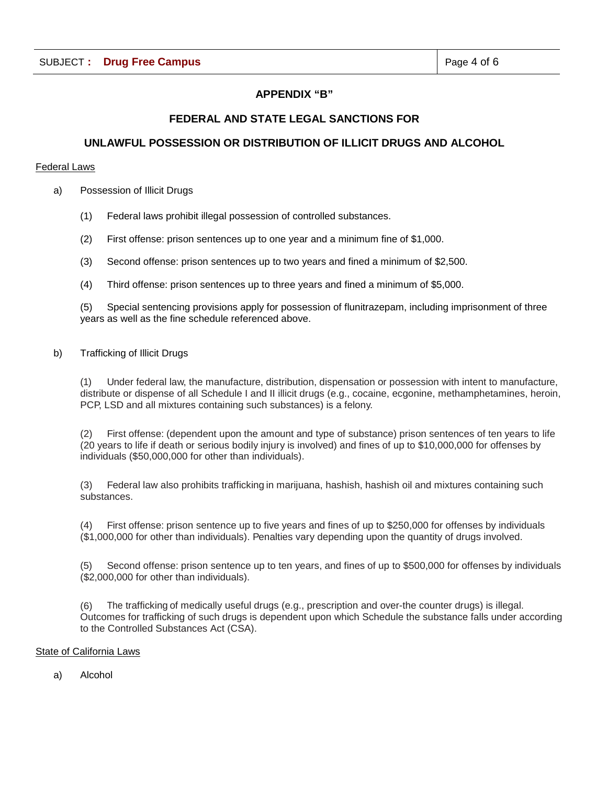## **APPENDIX "B"**

## **FEDERAL AND STATE LEGAL SANCTIONS FOR**

## **UNLAWFUL POSSESSION OR DISTRIBUTION OF ILLICIT DRUGS AND ALCOHOL**

#### Federal Laws

- a) Possession of Illicit Drugs
	- (1) Federal laws prohibit illegal possession of controlled substances.
	- (2) First offense: prison sentences up to one year and a minimum fine of \$1,000.
	- (3) Second offense: prison sentences up to two years and fined a minimum of \$2,500.
	- (4) Third offense: prison sentences up to three years and fined a minimum of \$5,000.

(5) Special sentencing provisions apply for possession of flunitrazepam, including imprisonment of three years as well as the fine schedule referenced above.

#### b) Trafficking of Illicit Drugs

(1) Under federal law, the manufacture, distribution, dispensation or possession with intent to manufacture, distribute or dispense of all Schedule I and II illicit drugs (e.g., cocaine, ecgonine, methamphetamines, heroin, PCP, LSD and all mixtures containing such substances) is a felony.

(2) First offense: (dependent upon the amount and type of substance) prison sentences of ten years to life (20 years to life if death or serious bodily injury is involved) and fines of up to \$10,000,000 for offenses by individuals (\$50,000,000 for other than individuals).

(3) Federal law also prohibits trafficking in marijuana, hashish, hashish oil and mixtures containing such substances.

(4) First offense: prison sentence up to five years and fines of up to \$250,000 for offenses by individuals (\$1,000,000 for other than individuals). Penalties vary depending upon the quantity of drugs involved.

(5) Second offense: prison sentence up to ten years, and fines of up to \$500,000 for offenses by individuals (\$2,000,000 for other than individuals).

(6) The trafficking of medically useful drugs (e.g., prescription and over-the counter drugs) is illegal. Outcomes for trafficking of such drugs is dependent upon which Schedule the substance falls under according to the Controlled Substances Act (CSA).

#### State of California Laws

a) Alcohol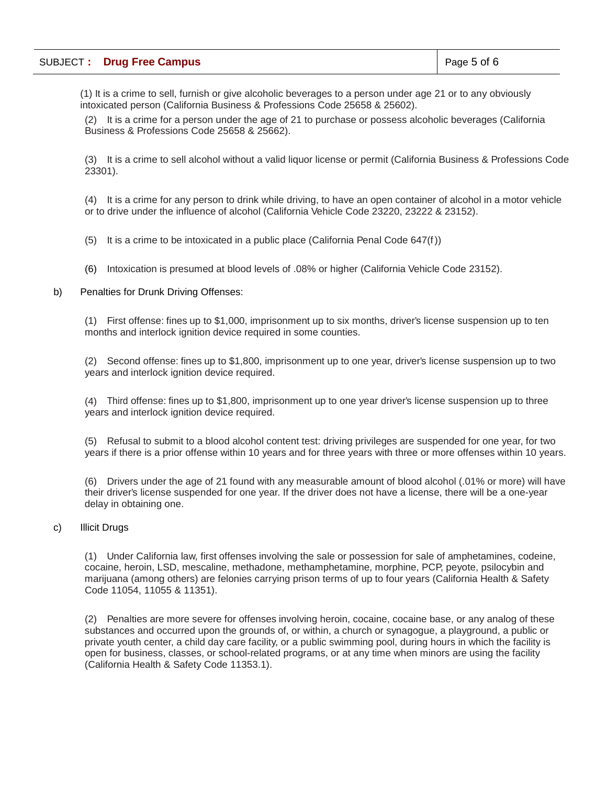(1) It is a crime to sell, furnish or give alcoholic beverages to a person under age 21 or to any obviously intoxicated person (California Business & Professions Code 25658 & 25602).

(2) It is a crime for a person under the age of 21 to purchase or possess alcoholic beverages (California Business & Professions Code 25658 & 25662).

(3) It is a crime to sell alcohol without a valid liquor license or permit (California Business & Professions Code 23301).

(4) It is a crime for any person to drink while driving, to have an open container of alcohol in a motor vehicle or to drive under the influence of alcohol (California Vehicle Code 23220, 23222 & 23152).

(5) It is a crime to be intoxicated in a public place (California Penal Code 647(f))

(6) Intoxication is presumed at blood levels of .08% or higher (California Vehicle Code 23152).

#### b) Penalties for Drunk Driving Offenses:

(1) First offense: fines up to \$1,000, imprisonment up to six months, driver's license suspension up to ten months and interlock ignition device required in some counties.

(2) Second offense: fines up to \$1,800, imprisonment up to one year, driver's license suspension up to two years and interlock ignition device required.

(4) Third offense: fines up to \$1,800, imprisonment up to one year driver's license suspension up to three years and interlock ignition device required.

(5) Refusal to submit to a blood alcohol content test: driving privileges are suspended for one year, for two years if there is a prior offense within 10 years and for three years with three or more offenses within 10 years.

(6) Drivers under the age of 21 found with any measurable amount of blood alcohol (.01% or more) will have their driver's license suspended for one year. If the driver does not have a license, there will be a one-year delay in obtaining one.

#### c) Illicit Drugs

(1) Under California law, first offenses involving the sale or possession for sale of amphetamines, codeine, cocaine, heroin, LSD, mescaline, methadone, methamphetamine, morphine, PCP, peyote, psilocybin and marijuana (among others) are felonies carrying prison terms of up to four years (California Health & Safety Code 11054, 11055 & 11351).

(2) Penalties are more severe for offenses involving heroin, cocaine, cocaine base, or any analog of these substances and occurred upon the grounds of, or within, a church or synagogue, a playground, a public or private youth center, a child day care facility, or a public swimming pool, during hours in which the facility is open for business, classes, or school-related programs, or at any time when minors are using the facility (California Health & Safety Code 11353.1).